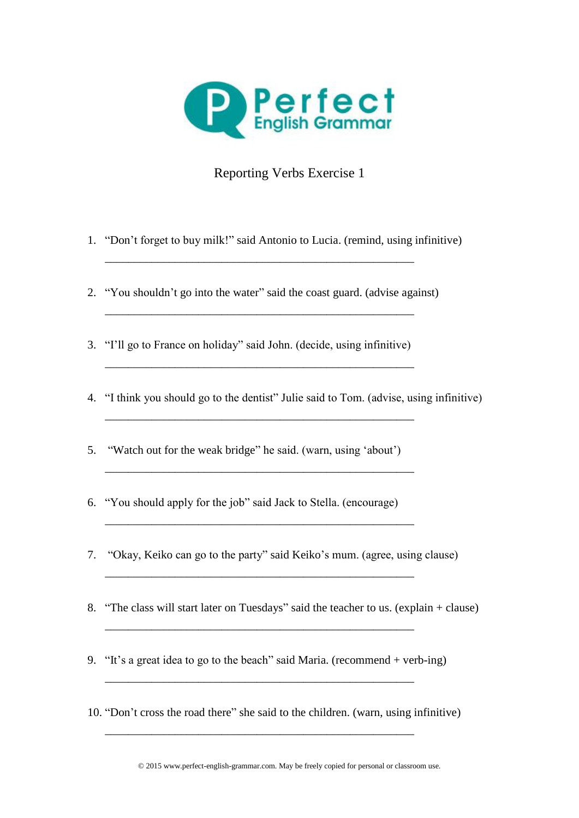

## Reporting Verbs Exercise 1

- 1. "Don't forget to buy milk!" said Antonio to Lucia. (remind, using infinitive)
- 2. "You shouldn't go into the water" said the coast guard. (advise against)

\_\_\_\_\_\_\_\_\_\_\_\_\_\_\_\_\_\_\_\_\_\_\_\_\_\_\_\_\_\_\_\_\_\_\_\_\_\_\_\_\_\_\_\_\_\_\_\_\_\_\_\_\_

\_\_\_\_\_\_\_\_\_\_\_\_\_\_\_\_\_\_\_\_\_\_\_\_\_\_\_\_\_\_\_\_\_\_\_\_\_\_\_\_\_\_\_\_\_\_\_\_\_\_\_\_\_

\_\_\_\_\_\_\_\_\_\_\_\_\_\_\_\_\_\_\_\_\_\_\_\_\_\_\_\_\_\_\_\_\_\_\_\_\_\_\_\_\_\_\_\_\_\_\_\_\_\_\_\_\_

\_\_\_\_\_\_\_\_\_\_\_\_\_\_\_\_\_\_\_\_\_\_\_\_\_\_\_\_\_\_\_\_\_\_\_\_\_\_\_\_\_\_\_\_\_\_\_\_\_\_\_\_\_

\_\_\_\_\_\_\_\_\_\_\_\_\_\_\_\_\_\_\_\_\_\_\_\_\_\_\_\_\_\_\_\_\_\_\_\_\_\_\_\_\_\_\_\_\_\_\_\_\_\_\_\_\_

\_\_\_\_\_\_\_\_\_\_\_\_\_\_\_\_\_\_\_\_\_\_\_\_\_\_\_\_\_\_\_\_\_\_\_\_\_\_\_\_\_\_\_\_\_\_\_\_\_\_\_\_\_

\_\_\_\_\_\_\_\_\_\_\_\_\_\_\_\_\_\_\_\_\_\_\_\_\_\_\_\_\_\_\_\_\_\_\_\_\_\_\_\_\_\_\_\_\_\_\_\_\_\_\_\_\_

\_\_\_\_\_\_\_\_\_\_\_\_\_\_\_\_\_\_\_\_\_\_\_\_\_\_\_\_\_\_\_\_\_\_\_\_\_\_\_\_\_\_\_\_\_\_\_\_\_\_\_\_\_

\_\_\_\_\_\_\_\_\_\_\_\_\_\_\_\_\_\_\_\_\_\_\_\_\_\_\_\_\_\_\_\_\_\_\_\_\_\_\_\_\_\_\_\_\_\_\_\_\_\_\_\_\_

\_\_\_\_\_\_\_\_\_\_\_\_\_\_\_\_\_\_\_\_\_\_\_\_\_\_\_\_\_\_\_\_\_\_\_\_\_\_\_\_\_\_\_\_\_\_\_\_\_\_\_\_\_

- 3. "I'll go to France on holiday" said John. (decide, using infinitive)
- 4. "I think you should go to the dentist" Julie said to Tom. (advise, using infinitive)
- 5. "Watch out for the weak bridge" he said. (warn, using 'about')
- 6. "You should apply for the job" said Jack to Stella. (encourage)
- 7. "Okay, Keiko can go to the party" said Keiko's mum. (agree, using clause)
- 8. "The class will start later on Tuesdays" said the teacher to us. (explain + clause)
- 9. "It's a great idea to go to the beach" said Maria. (recommend + verb-ing)
- 10. "Don't cross the road there" she said to the children. (warn, using infinitive)

© 2015 www.perfect-english-grammar.com. May be freely copied for personal or classroom use.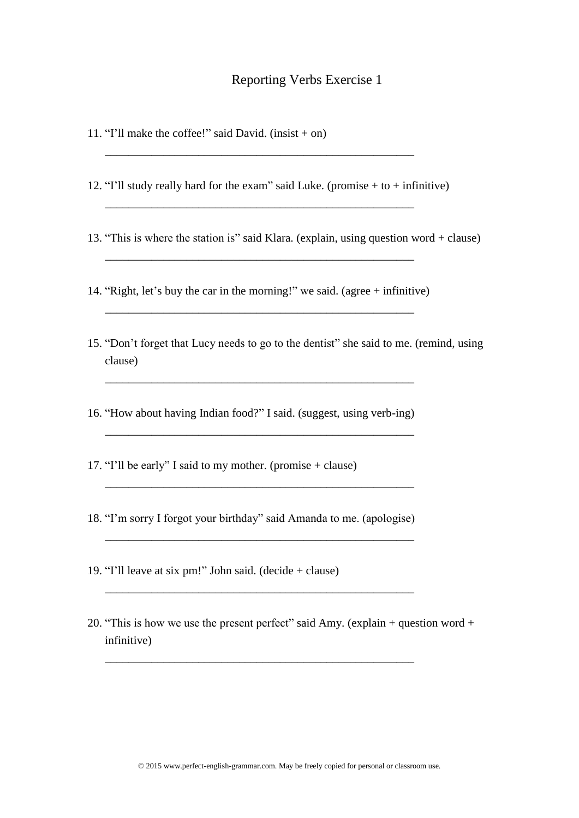## Reporting Verbs Exercise 1

- 11. "I'll make the coffee!" said David. (insist  $+$  on)
- 12. "I'll study really hard for the exam" said Luke. (promise  $+$  to  $+$  infinitive)

\_\_\_\_\_\_\_\_\_\_\_\_\_\_\_\_\_\_\_\_\_\_\_\_\_\_\_\_\_\_\_\_\_\_\_\_\_\_\_\_\_\_\_\_\_\_\_\_\_\_\_\_\_

\_\_\_\_\_\_\_\_\_\_\_\_\_\_\_\_\_\_\_\_\_\_\_\_\_\_\_\_\_\_\_\_\_\_\_\_\_\_\_\_\_\_\_\_\_\_\_\_\_\_\_\_\_

- 13. "This is where the station is" said Klara. (explain, using question word + clause)
- 14. "Right, let's buy the car in the morning!" we said. (agree + infinitive) \_\_\_\_\_\_\_\_\_\_\_\_\_\_\_\_\_\_\_\_\_\_\_\_\_\_\_\_\_\_\_\_\_\_\_\_\_\_\_\_\_\_\_\_\_\_\_\_\_\_\_\_\_

\_\_\_\_\_\_\_\_\_\_\_\_\_\_\_\_\_\_\_\_\_\_\_\_\_\_\_\_\_\_\_\_\_\_\_\_\_\_\_\_\_\_\_\_\_\_\_\_\_\_\_\_\_

- 15. "Don't forget that Lucy needs to go to the dentist" she said to me. (remind, using clause)
- 16. "How about having Indian food?" I said. (suggest, using verb-ing)

\_\_\_\_\_\_\_\_\_\_\_\_\_\_\_\_\_\_\_\_\_\_\_\_\_\_\_\_\_\_\_\_\_\_\_\_\_\_\_\_\_\_\_\_\_\_\_\_\_\_\_\_\_

\_\_\_\_\_\_\_\_\_\_\_\_\_\_\_\_\_\_\_\_\_\_\_\_\_\_\_\_\_\_\_\_\_\_\_\_\_\_\_\_\_\_\_\_\_\_\_\_\_\_\_\_\_

\_\_\_\_\_\_\_\_\_\_\_\_\_\_\_\_\_\_\_\_\_\_\_\_\_\_\_\_\_\_\_\_\_\_\_\_\_\_\_\_\_\_\_\_\_\_\_\_\_\_\_\_\_

\_\_\_\_\_\_\_\_\_\_\_\_\_\_\_\_\_\_\_\_\_\_\_\_\_\_\_\_\_\_\_\_\_\_\_\_\_\_\_\_\_\_\_\_\_\_\_\_\_\_\_\_\_

\_\_\_\_\_\_\_\_\_\_\_\_\_\_\_\_\_\_\_\_\_\_\_\_\_\_\_\_\_\_\_\_\_\_\_\_\_\_\_\_\_\_\_\_\_\_\_\_\_\_\_\_\_

\_\_\_\_\_\_\_\_\_\_\_\_\_\_\_\_\_\_\_\_\_\_\_\_\_\_\_\_\_\_\_\_\_\_\_\_\_\_\_\_\_\_\_\_\_\_\_\_\_\_\_\_\_

- 17. "I'll be early" I said to my mother. (promise + clause)
- 18. "I'm sorry I forgot your birthday" said Amanda to me. (apologise)
- 19. "I'll leave at six pm!" John said. (decide + clause)
- 20. "This is how we use the present perfect" said Amy. (explain + question word + infinitive)